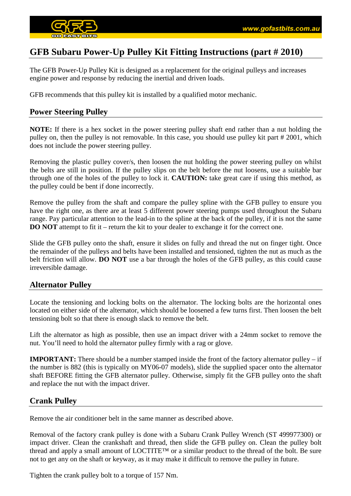

# **GFB Subaru Power-Up Pulley Kit Fitting Instructions (part # 2010)**

The GFB Power-Up Pulley Kit is designed as a replacement for the original pulleys and increases engine power and response by reducing the inertial and driven loads.

GFB recommends that this pulley kit is installed by a qualified motor mechanic.

## **Power Steering Pulley**

**NOTE:** If there is a hex socket in the power steering pulley shaft end rather than a nut holding the pulley on, then the pulley is not removable. In this case, you should use pulley kit part # 2001, which does not include the power steering pulley.

Removing the plastic pulley cover/s, then loosen the nut holding the power steering pulley on whilst the belts are still in position. If the pulley slips on the belt before the nut loosens, use a suitable bar through one of the holes of the pulley to lock it. **CAUTION:** take great care if using this method, as the pulley could be bent if done incorrectly.

Remove the pulley from the shaft and compare the pulley spline with the GFB pulley to ensure you have the right one, as there are at least 5 different power steering pumps used throughout the Subaru range. Pay particular attention to the lead-in to the spline at the back of the pulley, if it is not the same **DO NOT** attempt to fit it – return the kit to your dealer to exchange it for the correct one.

Slide the GFB pulley onto the shaft, ensure it slides on fully and thread the nut on finger tight. Once the remainder of the pulleys and belts have been installed and tensioned, tighten the nut as much as the belt friction will allow. **DO NOT** use a bar through the holes of the GFB pulley, as this could cause irreversible damage.

### **Alternator Pulley**

Locate the tensioning and locking bolts on the alternator. The locking bolts are the horizontal ones located on either side of the alternator, which should be loosened a few turns first. Then loosen the belt tensioning bolt so that there is enough slack to remove the belt.

Lift the alternator as high as possible, then use an impact driver with a 24mm socket to remove the nut. You'll need to hold the alternator pulley firmly with a rag or glove.

**IMPORTANT:** There should be a number stamped inside the front of the factory alternator pulley – if the number is 882 (this is typically on MY06-07 models), slide the supplied spacer onto the alternator shaft BEFORE fitting the GFB alternator pulley. Otherwise, simply fit the GFB pulley onto the shaft and replace the nut with the impact driver.

# **Crank Pulley**

Remove the air conditioner belt in the same manner as described above.

Removal of the factory crank pulley is done with a Subaru Crank Pulley Wrench (ST 499977300) or impact driver. Clean the crankshaft and thread, then slide the GFB pulley on. Clean the pulley bolt thread and apply a small amount of LOCTITE™ or a similar product to the thread of the bolt. Be sure not to get any on the shaft or keyway, as it may make it difficult to remove the pulley in future.

Tighten the crank pulley bolt to a torque of 157 Nm.